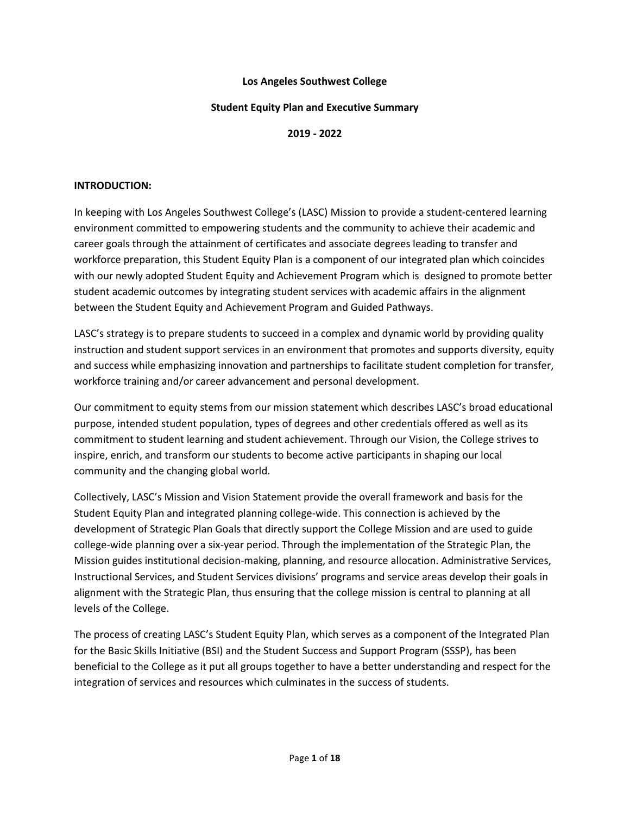#### **Los Angeles Southwest College**

#### **Student Equity Plan and Executive Summary**

**2019 - 2022**

#### **INTRODUCTION:**

In keeping with Los Angeles Southwest College's (LASC) Mission to provide a student-centered learning environment committed to empowering students and the community to achieve their academic and career goals through the attainment of certificates and associate degrees leading to transfer and workforce preparation, this Student Equity Plan is a component of our integrated plan which coincides with our newly adopted Student Equity and Achievement Program which is designed to promote better student academic outcomes by integrating student services with academic affairs in the alignment between the Student Equity and Achievement Program and Guided Pathways.

LASC's strategy is to prepare students to succeed in a complex and dynamic world by providing quality instruction and student support services in an environment that promotes and supports diversity, equity and success while emphasizing innovation and partnerships to facilitate student completion for transfer, workforce training and/or career advancement and personal development.

Our commitment to equity stems from our mission statement which describes LASC's broad educational purpose, intended student population, types of degrees and other credentials offered as well as its commitment to student learning and student achievement. Through our Vision, the College strives to inspire, enrich, and transform our students to become active participants in shaping our local community and the changing global world.

Collectively, LASC's Mission and Vision Statement provide the overall framework and basis for the Student Equity Plan and integrated planning college-wide. This connection is achieved by the development of Strategic Plan Goals that directly support the College Mission and are used to guide college-wide planning over a six-year period. Through the implementation of the Strategic Plan, the Mission guides institutional decision-making, planning, and resource allocation. Administrative Services, Instructional Services, and Student Services divisions' programs and service areas develop their goals in alignment with the Strategic Plan, thus ensuring that the college mission is central to planning at all levels of the College.

The process of creating LASC's Student Equity Plan, which serves as a component of the Integrated Plan for the Basic Skills Initiative (BSI) and the Student Success and Support Program (SSSP), has been beneficial to the College as it put all groups together to have a better understanding and respect for the integration of services and resources which culminates in the success of students.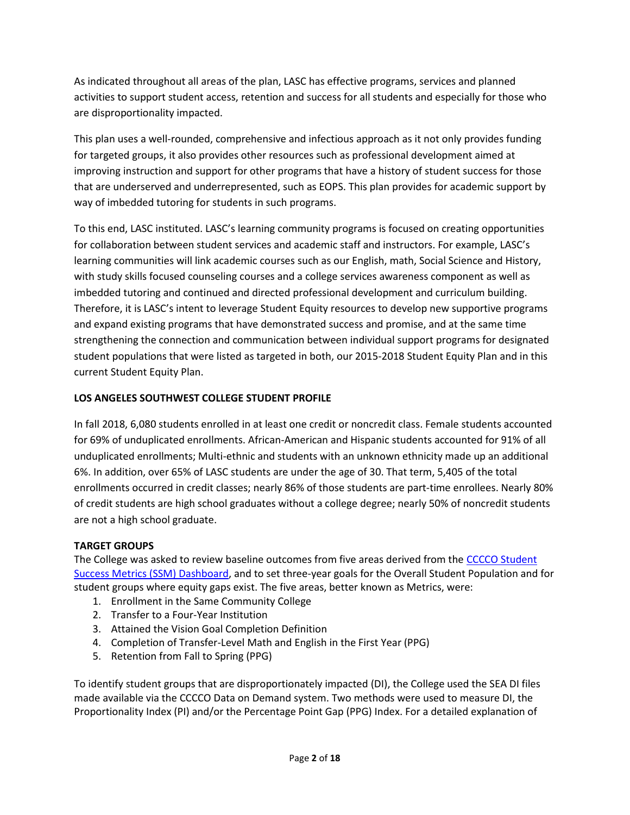As indicated throughout all areas of the plan, LASC has effective programs, services and planned activities to support student access, retention and success for all students and especially for those who are disproportionality impacted.

This plan uses a well-rounded, comprehensive and infectious approach as it not only provides funding for targeted groups, it also provides other resources such as professional development aimed at improving instruction and support for other programs that have a history of student success for those that are underserved and underrepresented, such as EOPS. This plan provides for academic support by way of imbedded tutoring for students in such programs.

To this end, LASC instituted. LASC's learning community programs is focused on creating opportunities for collaboration between student services and academic staff and instructors. For example, LASC's learning communities will link academic courses such as our English, math, Social Science and History, with study skills focused counseling courses and a college services awareness component as well as imbedded tutoring and continued and directed professional development and curriculum building. Therefore, it is LASC's intent to leverage Student Equity resources to develop new supportive programs and expand existing programs that have demonstrated success and promise, and at the same time strengthening the connection and communication between individual support programs for designated student populations that were listed as targeted in both, our 2015-2018 Student Equity Plan and in this current Student Equity Plan.

## **LOS ANGELES SOUTHWEST COLLEGE STUDENT PROFILE**

In fall 2018, 6,080 students enrolled in at least one credit or noncredit class. Female students accounted for 69% of unduplicated enrollments. African-American and Hispanic students accounted for 91% of all unduplicated enrollments; Multi-ethnic and students with an unknown ethnicity made up an additional 6%. In addition, over 65% of LASC students are under the age of 30. That term, 5,405 of the total enrollments occurred in credit classes; nearly 86% of those students are part-time enrollees. Nearly 80% of credit students are high school graduates without a college degree; nearly 50% of noncredit students are not a high school graduate.

# **TARGET GROUPS**

The College was asked to review baseline outcomes from five areas derived from the [CCCCO Student](https://www.calpassplus.org/LaunchBoard/Student-Success-Metrics)  [Success Metrics \(SSM\) Dashboard,](https://www.calpassplus.org/LaunchBoard/Student-Success-Metrics) and to set three-year goals for the Overall Student Population and for student groups where equity gaps exist. The five areas, better known as Metrics, were:

- 1. Enrollment in the Same Community College
- 2. Transfer to a Four-Year Institution
- 3. Attained the Vision Goal Completion Definition
- 4. Completion of Transfer-Level Math and English in the First Year (PPG)
- 5. Retention from Fall to Spring (PPG)

To identify student groups that are disproportionately impacted (DI), the College used the SEA DI files made available via the CCCCO Data on Demand system. Two methods were used to measure DI, the Proportionality Index (PI) and/or the Percentage Point Gap (PPG) Index. For a detailed explanation of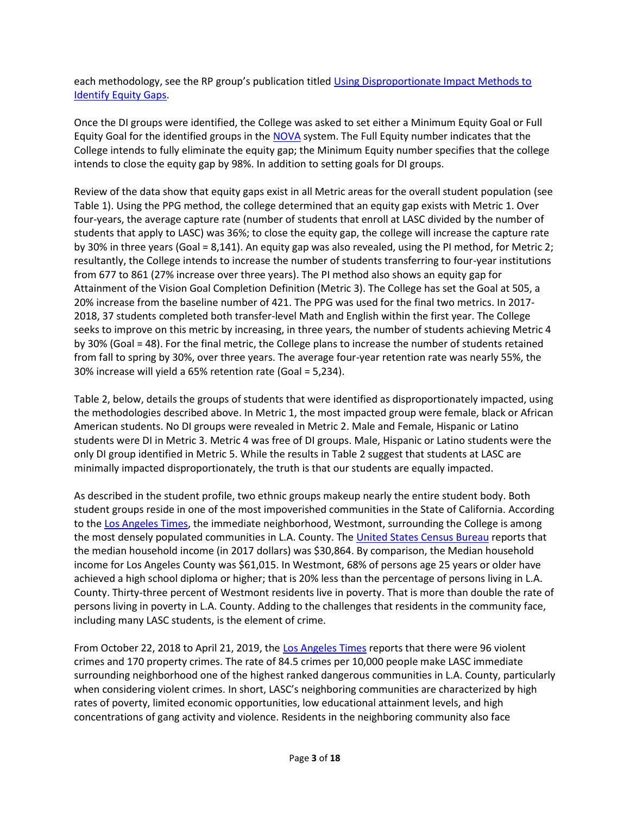each methodology, see the RP group's publication titled [Using Disproportionate Impact Methods to](https://visionresourcecenter.cccco.edu/sites/default/files/wp-content/uploads/2017/01/ASK-DD-DisproportionateImpact-GSosa-Revised-1707-Remediated.pdf)  [Identify Equity Gaps.](https://visionresourcecenter.cccco.edu/sites/default/files/wp-content/uploads/2017/01/ASK-DD-DisproportionateImpact-GSosa-Revised-1707-Remediated.pdf)

Once the DI groups were identified, the College was asked to set either a Minimum Equity Goal or Full Equity Goal for the identified groups in the [NOVA](https://nova.cccco.edu/) system. The Full Equity number indicates that the College intends to fully eliminate the equity gap; the Minimum Equity number specifies that the college intends to close the equity gap by 98%. In addition to setting goals for DI groups.

Review of the data show that equity gaps exist in all Metric areas for the overall student population (see Table 1). Using the PPG method, the college determined that an equity gap exists with Metric 1. Over four-years, the average capture rate (number of students that enroll at LASC divided by the number of students that apply to LASC) was 36%; to close the equity gap, the college will increase the capture rate by 30% in three years (Goal = 8,141). An equity gap was also revealed, using the PI method, for Metric 2; resultantly, the College intends to increase the number of students transferring to four-year institutions from 677 to 861 (27% increase over three years). The PI method also shows an equity gap for Attainment of the Vision Goal Completion Definition (Metric 3). The College has set the Goal at 505, a 20% increase from the baseline number of 421. The PPG was used for the final two metrics. In 2017- 2018, 37 students completed both transfer-level Math and English within the first year. The College seeks to improve on this metric by increasing, in three years, the number of students achieving Metric 4 by 30% (Goal = 48). For the final metric, the College plans to increase the number of students retained from fall to spring by 30%, over three years. The average four-year retention rate was nearly 55%, the 30% increase will yield a 65% retention rate (Goal = 5,234).

Table 2, below, details the groups of students that were identified as disproportionately impacted, using the methodologies described above. In Metric 1, the most impacted group were female, black or African American students. No DI groups were revealed in Metric 2. Male and Female, Hispanic or Latino students were DI in Metric 3. Metric 4 was free of DI groups. Male, Hispanic or Latino students were the only DI group identified in Metric 5. While the results in Table 2 suggest that students at LASC are minimally impacted disproportionately, the truth is that our students are equally impacted.

As described in the student profile, two ethnic groups makeup nearly the entire student body. Both student groups reside in one of the most impoverished communities in the State of California. According to th[e Los Angeles Times,](http://maps.latimes.com/neighborhoods/neighborhood/westmont/) the immediate neighborhood, Westmont, surrounding the College is among the most densely populated communities in L.A. County. The [United States Census Bureau](https://www.census.gov/quickfacts/fact/table/westmontcdpcalifornia,US/INC110217) reports that the median household income (in 2017 dollars) was \$30,864. By comparison, the Median household income for Los Angeles County was \$61,015. In Westmont, 68% of persons age 25 years or older have achieved a high school diploma or higher; that is 20% less than the percentage of persons living in L.A. County. Thirty-three percent of Westmont residents live in poverty. That is more than double the rate of persons living in poverty in L.A. County. Adding to the challenges that residents in the community face, including many LASC students, is the element of crime.

From October 22, 2018 to April 21, 2019, the [Los Angeles Times](http://maps.latimes.com/neighborhoods/neighborhood/westmont/crime/?q=Westmont%2C+CA%2C+USA&lat=33.9414035&lng=-118.3022963&g=Geocodify#six-months) reports that there were 96 violent crimes and 170 property crimes. The rate of 84.5 crimes per 10,000 people make LASC immediate surrounding neighborhood one of the highest ranked dangerous communities in L.A. County, particularly when considering violent crimes. In short, LASC's neighboring communities are characterized by high rates of poverty, limited economic opportunities, low educational attainment levels, and high concentrations of gang activity and violence. Residents in the neighboring community also face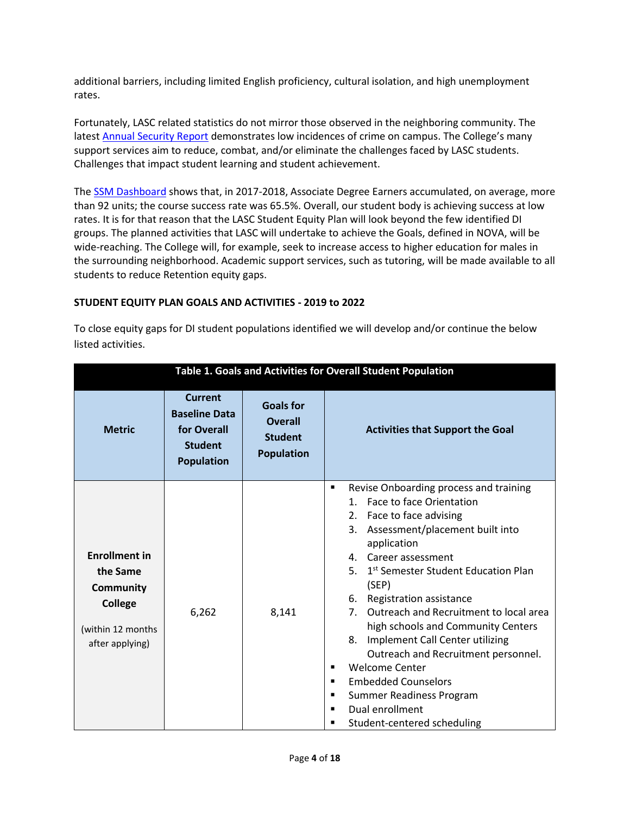additional barriers, including limited English proficiency, cultural isolation, and high unemployment rates.

Fortunately, LASC related statistics do not mirror those observed in the neighboring community. The lates[t Annual Security Report](http://lasc.edu/about_lasc/2018-19-LASC-Annual-Safety-Report.pdf) demonstrates low incidences of crime on campus. The College's many support services aim to reduce, combat, and/or eliminate the challenges faced by LASC students. Challenges that impact student learning and student achievement.

The **SSM Dashboard** shows that, in 2017-2018, Associate Degree Earners accumulated, on average, more than 92 units; the course success rate was 65.5%. Overall, our student body is achieving success at low rates. It is for that reason that the LASC Student Equity Plan will look beyond the few identified DI groups. The planned activities that LASC will undertake to achieve the Goals, defined in NOVA, will be wide-reaching. The College will, for example, seek to increase access to higher education for males in the surrounding neighborhood. Academic support services, such as tutoring, will be made available to all students to reduce Retention equity gaps.

#### **STUDENT EQUITY PLAN GOALS AND ACTIVITIES - 2019 to 2022**

To close equity gaps for DI student populations identified we will develop and/or continue the below listed activities.

|                                                                                                         | Table 1. Goals and Activities for Overall Student Population                                 |                                                                           |                                                                                                                                                                                                                                                                                                                                                                                                                                                                                                                                                                                                                                                            |  |  |  |  |  |
|---------------------------------------------------------------------------------------------------------|----------------------------------------------------------------------------------------------|---------------------------------------------------------------------------|------------------------------------------------------------------------------------------------------------------------------------------------------------------------------------------------------------------------------------------------------------------------------------------------------------------------------------------------------------------------------------------------------------------------------------------------------------------------------------------------------------------------------------------------------------------------------------------------------------------------------------------------------------|--|--|--|--|--|
| <b>Metric</b>                                                                                           | <b>Current</b><br><b>Baseline Data</b><br>for Overall<br><b>Student</b><br><b>Population</b> | <b>Goals for</b><br><b>Overall</b><br><b>Student</b><br><b>Population</b> | <b>Activities that Support the Goal</b>                                                                                                                                                                                                                                                                                                                                                                                                                                                                                                                                                                                                                    |  |  |  |  |  |
| <b>Enrollment in</b><br>the Same<br>Community<br><b>College</b><br>(within 12 months<br>after applying) | 6,262                                                                                        | 8,141                                                                     | Revise Onboarding process and training<br>٠<br><b>Face to face Orientation</b><br>2. Face to face advising<br>Assessment/placement built into<br>3.<br>application<br>4. Career assessment<br>5.<br>1 <sup>st</sup> Semester Student Education Plan<br>(SEP)<br>Registration assistance<br>6.<br>Outreach and Recruitment to local area<br>7 <sup>1</sup><br>high schools and Community Centers<br>Implement Call Center utilizing<br>8.<br>Outreach and Recruitment personnel.<br><b>Welcome Center</b><br>٠<br><b>Embedded Counselors</b><br>٠<br>Summer Readiness Program<br>٠<br>Dual enrollment<br>$\blacksquare$<br>Student-centered scheduling<br>■ |  |  |  |  |  |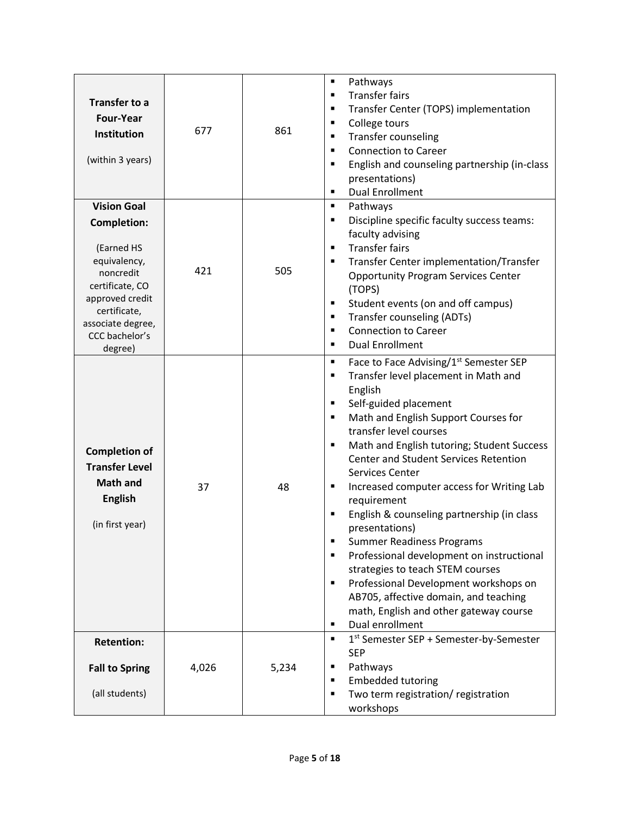| <b>Transfer to a</b><br><b>Four-Year</b><br>Institution<br>(within 3 years)                                                                                                                 | 677   | 861   | ٠<br>Pathways<br><b>Transfer fairs</b><br>$\blacksquare$<br>Transfer Center (TOPS) implementation<br>٠<br>College tours<br>٠<br>Transfer counseling<br>٠<br><b>Connection to Career</b><br>٠<br>English and counseling partnership (in-class<br>٠<br>presentations)<br><b>Dual Enrollment</b><br>٠                                                                                                                                                                                                                                                                                                                                                                                                                                                                |
|---------------------------------------------------------------------------------------------------------------------------------------------------------------------------------------------|-------|-------|-------------------------------------------------------------------------------------------------------------------------------------------------------------------------------------------------------------------------------------------------------------------------------------------------------------------------------------------------------------------------------------------------------------------------------------------------------------------------------------------------------------------------------------------------------------------------------------------------------------------------------------------------------------------------------------------------------------------------------------------------------------------|
| <b>Vision Goal</b><br><b>Completion:</b><br>(Earned HS<br>equivalency,<br>noncredit<br>certificate, CO<br>approved credit<br>certificate,<br>associate degree,<br>CCC bachelor's<br>degree) | 421   | 505   | Pathways<br>٠<br>Discipline specific faculty success teams:<br>٠<br>faculty advising<br><b>Transfer fairs</b><br>$\blacksquare$<br>Transfer Center implementation/Transfer<br>٠<br><b>Opportunity Program Services Center</b><br>(TOPS)<br>Student events (on and off campus)<br>٠<br>Transfer counseling (ADTs)<br>٠<br><b>Connection to Career</b><br>$\blacksquare$<br><b>Dual Enrollment</b><br>٠                                                                                                                                                                                                                                                                                                                                                             |
| <b>Completion of</b><br><b>Transfer Level</b><br><b>Math and</b><br><b>English</b><br>(in first year)                                                                                       | 37    | 48    | Face to Face Advising/1 <sup>st</sup> Semester SEP<br>٠<br>Transfer level placement in Math and<br>٠<br>English<br>Self-guided placement<br>٠<br>Math and English Support Courses for<br>٠<br>transfer level courses<br>Math and English tutoring; Student Success<br>٠<br>Center and Student Services Retention<br>Services Center<br>Increased computer access for Writing Lab<br>٠<br>requirement<br>English & counseling partnership (in class<br>Ξ<br>presentations)<br><b>Summer Readiness Programs</b><br>٠<br>Professional development on instructional<br>٠<br>strategies to teach STEM courses<br>Professional Development workshops on<br>٠<br>AB705, affective domain, and teaching<br>math, English and other gateway course<br>Dual enrollment<br>٠ |
| <b>Retention:</b><br><b>Fall to Spring</b><br>(all students)                                                                                                                                | 4,026 | 5,234 | 1 <sup>st</sup> Semester SEP + Semester-by-Semester<br>٠<br><b>SEP</b><br>Pathways<br>٠<br><b>Embedded tutoring</b><br>٠<br>Two term registration/ registration<br>٠<br>workshops                                                                                                                                                                                                                                                                                                                                                                                                                                                                                                                                                                                 |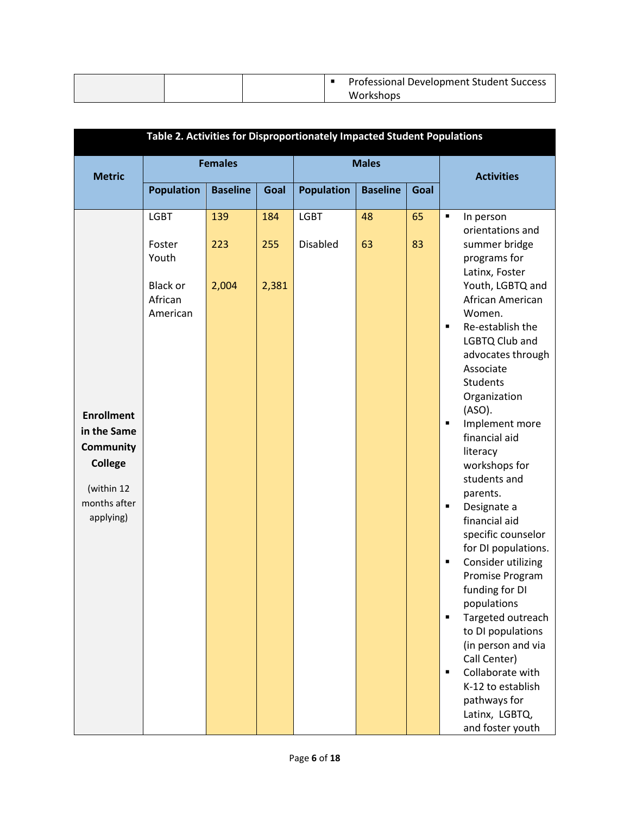|  |  | <b>Professional Development Student Success</b> |
|--|--|-------------------------------------------------|
|  |  | Workshops                                       |

|                                                                                                            | Table 2. Activities for Disproportionately Impacted Student Populations  |                     |                     |                                |                 |          |                                                                                                                                                                                                                                                                                                                                                                                                                                                                                                                                                                                                                                                                                                                                           |  |
|------------------------------------------------------------------------------------------------------------|--------------------------------------------------------------------------|---------------------|---------------------|--------------------------------|-----------------|----------|-------------------------------------------------------------------------------------------------------------------------------------------------------------------------------------------------------------------------------------------------------------------------------------------------------------------------------------------------------------------------------------------------------------------------------------------------------------------------------------------------------------------------------------------------------------------------------------------------------------------------------------------------------------------------------------------------------------------------------------------|--|
| <b>Metric</b>                                                                                              |                                                                          | <b>Females</b>      |                     |                                | <b>Males</b>    |          | <b>Activities</b>                                                                                                                                                                                                                                                                                                                                                                                                                                                                                                                                                                                                                                                                                                                         |  |
|                                                                                                            | <b>Population</b>                                                        | <b>Baseline</b>     | Goal                | <b>Population</b>              | <b>Baseline</b> | Goal     |                                                                                                                                                                                                                                                                                                                                                                                                                                                                                                                                                                                                                                                                                                                                           |  |
| <b>Enrollment</b><br>in the Same<br>Community<br><b>College</b><br>(within 12<br>months after<br>applying) | <b>LGBT</b><br>Foster<br>Youth<br><b>Black or</b><br>African<br>American | 139<br>223<br>2,004 | 184<br>255<br>2,381 | <b>LGBT</b><br><b>Disabled</b> | 48<br>63        | 65<br>83 | ٠<br>In person<br>orientations and<br>summer bridge<br>programs for<br>Latinx, Foster<br>Youth, LGBTQ and<br>African American<br>Women.<br>Re-establish the<br>٠<br>LGBTQ Club and<br>advocates through<br>Associate<br><b>Students</b><br>Organization<br>(ASO).<br>Implement more<br>$\blacksquare$<br>financial aid<br>literacy<br>workshops for<br>students and<br>parents.<br>Designate a<br>٠<br>financial aid<br>specific counselor<br>for DI populations.<br>Consider utilizing<br>٠<br>Promise Program<br>funding for DI<br>populations<br>Targeted outreach<br>٠<br>to DI populations<br>(in person and via<br>Call Center)<br>Collaborate with<br>٠<br>K-12 to establish<br>pathways for<br>Latinx, LGBTQ,<br>and foster youth |  |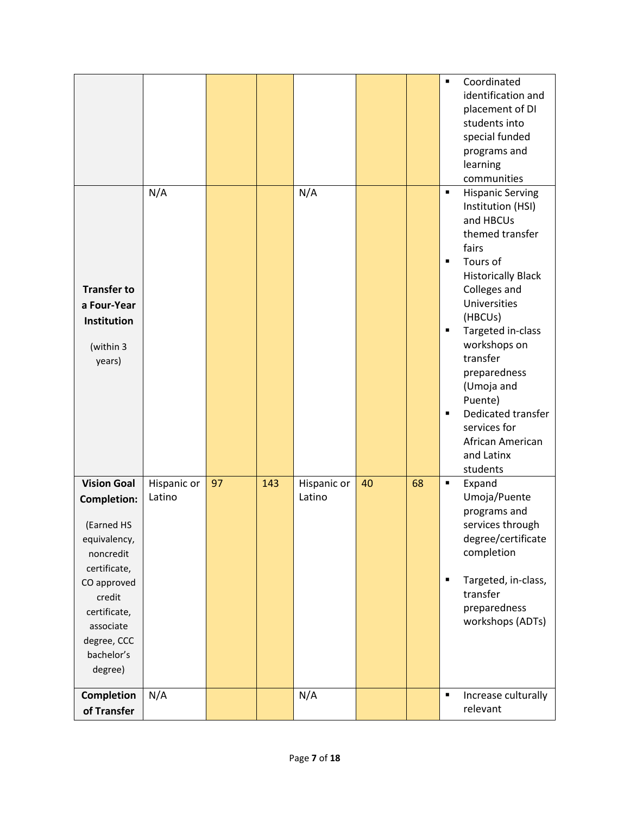|                                                                                                                                                                                                   |                       |    |     |                       |    |    | Coordinated<br>$\blacksquare$<br>identification and<br>placement of DI<br>students into<br>special funded<br>programs and<br>learning<br>communities                                                                                                                                                                                                                                                               |
|---------------------------------------------------------------------------------------------------------------------------------------------------------------------------------------------------|-----------------------|----|-----|-----------------------|----|----|--------------------------------------------------------------------------------------------------------------------------------------------------------------------------------------------------------------------------------------------------------------------------------------------------------------------------------------------------------------------------------------------------------------------|
| <b>Transfer to</b><br>a Four-Year<br>Institution<br>(within 3<br>years)                                                                                                                           | N/A                   |    |     | N/A                   |    |    | <b>Hispanic Serving</b><br>$\blacksquare$<br>Institution (HSI)<br>and HBCUs<br>themed transfer<br>fairs<br>Tours of<br>$\blacksquare$<br><b>Historically Black</b><br>Colleges and<br>Universities<br>(HBCUs)<br>Targeted in-class<br>٠<br>workshops on<br>transfer<br>preparedness<br>(Umoja and<br>Puente)<br>Dedicated transfer<br>$\blacksquare$<br>services for<br>African American<br>and Latinx<br>students |
| <b>Vision Goal</b><br><b>Completion:</b><br>(Earned HS<br>equivalency,<br>noncredit<br>certificate,<br>CO approved<br>credit<br>certificate,<br>associate<br>degree, CCC<br>bachelor's<br>degree) | Hispanic or<br>Latino | 97 | 143 | Hispanic or<br>Latino | 40 | 68 | Expand<br>$\blacksquare$<br>Umoja/Puente<br>programs and<br>services through<br>degree/certificate<br>completion<br>Targeted, in-class,<br>٠<br>transfer<br>preparedness<br>workshops (ADTs)                                                                                                                                                                                                                       |
| Completion<br>of Transfer                                                                                                                                                                         | N/A                   |    |     | N/A                   |    |    | $\blacksquare$<br>Increase culturally<br>relevant                                                                                                                                                                                                                                                                                                                                                                  |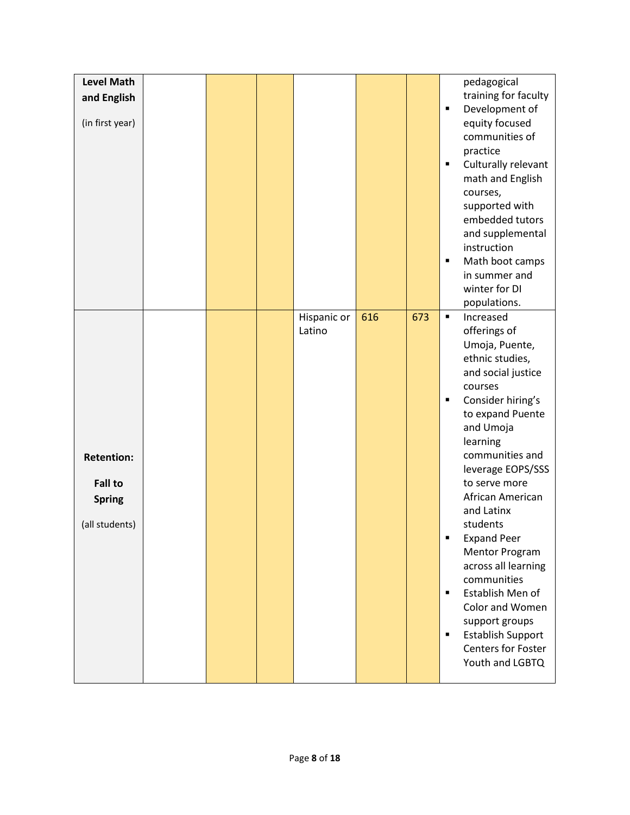| <b>Level Math</b> |  |             |     |     |                | pedagogical                             |
|-------------------|--|-------------|-----|-----|----------------|-----------------------------------------|
| and English       |  |             |     |     |                | training for faculty                    |
|                   |  |             |     |     | $\blacksquare$ | Development of                          |
| (in first year)   |  |             |     |     |                | equity focused                          |
|                   |  |             |     |     |                | communities of                          |
|                   |  |             |     |     | ٠              | practice                                |
|                   |  |             |     |     |                | Culturally relevant<br>math and English |
|                   |  |             |     |     |                | courses,                                |
|                   |  |             |     |     |                | supported with                          |
|                   |  |             |     |     |                | embedded tutors                         |
|                   |  |             |     |     |                | and supplemental                        |
|                   |  |             |     |     |                | instruction                             |
|                   |  |             |     |     | $\blacksquare$ | Math boot camps                         |
|                   |  |             |     |     |                | in summer and                           |
|                   |  |             |     |     |                | winter for DI                           |
|                   |  |             |     |     |                | populations.                            |
|                   |  | Hispanic or | 616 | 673 | $\blacksquare$ | Increased                               |
|                   |  | Latino      |     |     |                | offerings of                            |
|                   |  |             |     |     |                | Umoja, Puente,                          |
|                   |  |             |     |     |                | ethnic studies,<br>and social justice   |
|                   |  |             |     |     |                | courses                                 |
|                   |  |             |     |     | ٠              | Consider hiring's                       |
|                   |  |             |     |     |                | to expand Puente                        |
|                   |  |             |     |     |                | and Umoja                               |
|                   |  |             |     |     |                | learning                                |
| <b>Retention:</b> |  |             |     |     |                | communities and                         |
|                   |  |             |     |     |                | leverage EOPS/SSS                       |
| <b>Fall to</b>    |  |             |     |     |                | to serve more                           |
| <b>Spring</b>     |  |             |     |     |                | African American                        |
|                   |  |             |     |     |                | and Latinx                              |
| (all students)    |  |             |     |     | $\blacksquare$ | students<br><b>Expand Peer</b>          |
|                   |  |             |     |     |                | Mentor Program                          |
|                   |  |             |     |     |                | across all learning                     |
|                   |  |             |     |     |                | communities                             |
|                   |  |             |     |     | $\blacksquare$ | Establish Men of                        |
|                   |  |             |     |     |                | Color and Women                         |
|                   |  |             |     |     |                | support groups                          |
|                   |  |             |     |     | ٠              | <b>Establish Support</b>                |
|                   |  |             |     |     |                | Centers for Foster                      |
|                   |  |             |     |     |                | Youth and LGBTQ                         |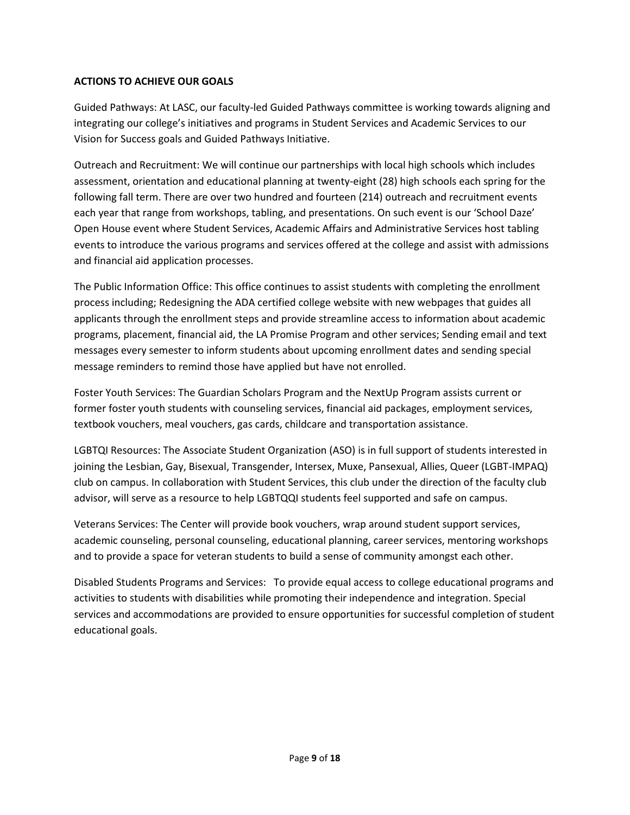### **ACTIONS TO ACHIEVE OUR GOALS**

Guided Pathways: At LASC, our faculty-led Guided Pathways committee is working towards aligning and integrating our college's initiatives and programs in Student Services and Academic Services to our Vision for Success goals and Guided Pathways Initiative.

Outreach and Recruitment: We will continue our partnerships with local high schools which includes assessment, orientation and educational planning at twenty-eight (28) high schools each spring for the following fall term. There are over two hundred and fourteen (214) outreach and recruitment events each year that range from workshops, tabling, and presentations. On such event is our 'School Daze' Open House event where Student Services, Academic Affairs and Administrative Services host tabling events to introduce the various programs and services offered at the college and assist with admissions and financial aid application processes.

The Public Information Office: This office continues to assist students with completing the enrollment process including; Redesigning the ADA certified college website with new webpages that guides all applicants through the enrollment steps and provide streamline access to information about academic programs, placement, financial aid, the LA Promise Program and other services; Sending email and text messages every semester to inform students about upcoming enrollment dates and sending special message reminders to remind those have applied but have not enrolled.

Foster Youth Services: The Guardian Scholars Program and the NextUp Program assists current or former foster youth students with counseling services, financial aid packages, employment services, textbook vouchers, meal vouchers, gas cards, childcare and transportation assistance.

LGBTQI Resources: The Associate Student Organization (ASO) is in full support of students interested in joining the Lesbian, Gay, Bisexual, Transgender, Intersex, Muxe, Pansexual, Allies, Queer (LGBT-IMPAQ) club on campus. In collaboration with Student Services, this club under the direction of the faculty club advisor, will serve as a resource to help LGBTQQI students feel supported and safe on campus.

Veterans Services: The Center will provide book vouchers, wrap around student support services, academic counseling, personal counseling, educational planning, career services, mentoring workshops and to provide a space for veteran students to build a sense of community amongst each other.

Disabled Students Programs and Services: To provide equal access to college educational programs and activities to students with disabilities while promoting their independence and integration. Special services and accommodations are provided to ensure opportunities for successful completion of student educational goals.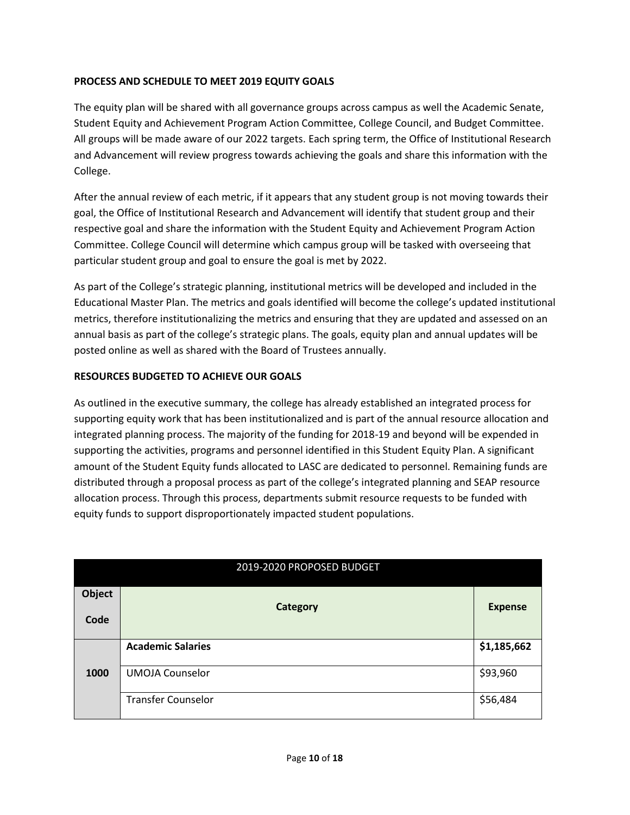### **PROCESS AND SCHEDULE TO MEET 2019 EQUITY GOALS**

The equity plan will be shared with all governance groups across campus as well the Academic Senate, Student Equity and Achievement Program Action Committee, College Council, and Budget Committee. All groups will be made aware of our 2022 targets. Each spring term, the Office of Institutional Research and Advancement will review progress towards achieving the goals and share this information with the College.

After the annual review of each metric, if it appears that any student group is not moving towards their goal, the Office of Institutional Research and Advancement will identify that student group and their respective goal and share the information with the Student Equity and Achievement Program Action Committee. College Council will determine which campus group will be tasked with overseeing that particular student group and goal to ensure the goal is met by 2022.

As part of the College's strategic planning, institutional metrics will be developed and included in the Educational Master Plan. The metrics and goals identified will become the college's updated institutional metrics, therefore institutionalizing the metrics and ensuring that they are updated and assessed on an annual basis as part of the college's strategic plans. The goals, equity plan and annual updates will be posted online as well as shared with the Board of Trustees annually.

### **RESOURCES BUDGETED TO ACHIEVE OUR GOALS**

As outlined in the executive summary, the college has already established an integrated process for supporting equity work that has been institutionalized and is part of the annual resource allocation and integrated planning process. The majority of the funding for 2018-19 and beyond will be expended in supporting the activities, programs and personnel identified in this Student Equity Plan. A significant amount of the Student Equity funds allocated to LASC are dedicated to personnel. Remaining funds are distributed through a proposal process as part of the college's integrated planning and SEAP resource allocation process. Through this process, departments submit resource requests to be funded with equity funds to support disproportionately impacted student populations.

|               | 2019-2020 PROPOSED BUDGET |                |
|---------------|---------------------------|----------------|
| <b>Object</b> | <b>Category</b>           | <b>Expense</b> |
| Code          |                           |                |
|               | <b>Academic Salaries</b>  | \$1,185,662    |
| 1000          | <b>UMOJA Counselor</b>    | \$93,960       |
|               | <b>Transfer Counselor</b> | \$56,484       |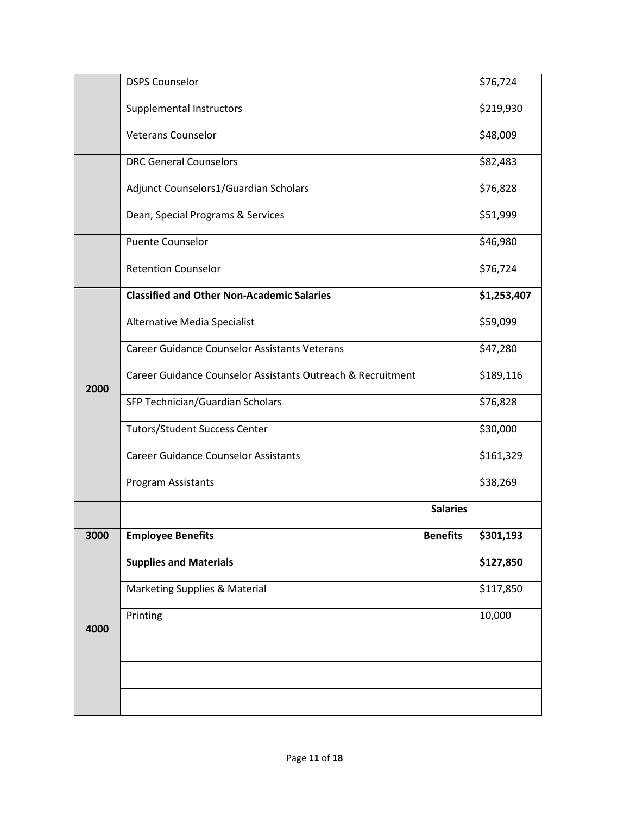|      | <b>DSPS Counselor</b>                                       | \$76,724    |
|------|-------------------------------------------------------------|-------------|
|      | Supplemental Instructors                                    | \$219,930   |
|      | <b>Veterans Counselor</b>                                   | \$48,009    |
|      | <b>DRC General Counselors</b>                               | \$82,483    |
|      | Adjunct Counselors1/Guardian Scholars                       | \$76,828    |
|      | Dean, Special Programs & Services                           | \$51,999    |
|      | <b>Puente Counselor</b>                                     | \$46,980    |
|      | <b>Retention Counselor</b>                                  | \$76,724    |
|      | <b>Classified and Other Non-Academic Salaries</b>           | \$1,253,407 |
|      | Alternative Media Specialist                                | \$59,099    |
|      | <b>Career Guidance Counselor Assistants Veterans</b>        | \$47,280    |
| 2000 | Career Guidance Counselor Assistants Outreach & Recruitment | \$189,116   |
|      | SFP Technician/Guardian Scholars                            | \$76,828    |
|      | <b>Tutors/Student Success Center</b>                        | \$30,000    |
|      | <b>Career Guidance Counselor Assistants</b>                 | \$161,329   |
|      | Program Assistants                                          | \$38,269    |
|      | <b>Salaries</b>                                             |             |
| 3000 | <b>Employee Benefits</b><br><b>Benefits</b>                 | \$301,193   |
|      | <b>Supplies and Materials</b>                               | \$127,850   |
|      | Marketing Supplies & Material                               | \$117,850   |
| 4000 | Printing                                                    | 10,000      |
|      |                                                             |             |
|      |                                                             |             |
|      |                                                             |             |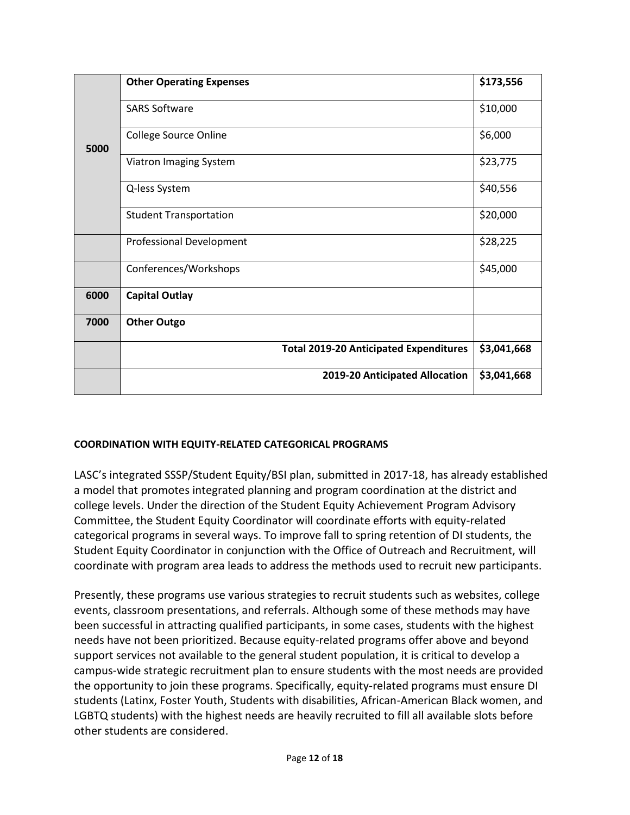|      | <b>Other Operating Expenses</b>               | \$173,556   |
|------|-----------------------------------------------|-------------|
|      | <b>SARS Software</b>                          | \$10,000    |
| 5000 | <b>College Source Online</b>                  | \$6,000     |
|      | Viatron Imaging System                        | \$23,775    |
|      | Q-less System                                 | \$40,556    |
|      | <b>Student Transportation</b>                 | \$20,000    |
|      | Professional Development                      | \$28,225    |
|      | Conferences/Workshops                         | \$45,000    |
| 6000 | <b>Capital Outlay</b>                         |             |
| 7000 | <b>Other Outgo</b>                            |             |
|      | <b>Total 2019-20 Anticipated Expenditures</b> | \$3,041,668 |
|      | 2019-20 Anticipated Allocation                | \$3,041,668 |

#### **COORDINATION WITH EQUITY-RELATED CATEGORICAL PROGRAMS**

LASC's integrated SSSP/Student Equity/BSI plan, submitted in 2017-18, has already established a model that promotes integrated planning and program coordination at the district and college levels. Under the direction of the Student Equity Achievement Program Advisory Committee, the Student Equity Coordinator will coordinate efforts with equity-related categorical programs in several ways. To improve fall to spring retention of DI students, the Student Equity Coordinator in conjunction with the Office of Outreach and Recruitment, will coordinate with program area leads to address the methods used to recruit new participants.

Presently, these programs use various strategies to recruit students such as websites, college events, classroom presentations, and referrals. Although some of these methods may have been successful in attracting qualified participants, in some cases, students with the highest needs have not been prioritized. Because equity-related programs offer above and beyond support services not available to the general student population, it is critical to develop a campus-wide strategic recruitment plan to ensure students with the most needs are provided the opportunity to join these programs. Specifically, equity-related programs must ensure DI students (Latinx, Foster Youth, Students with disabilities, African-American Black women, and LGBTQ students) with the highest needs are heavily recruited to fill all available slots before other students are considered.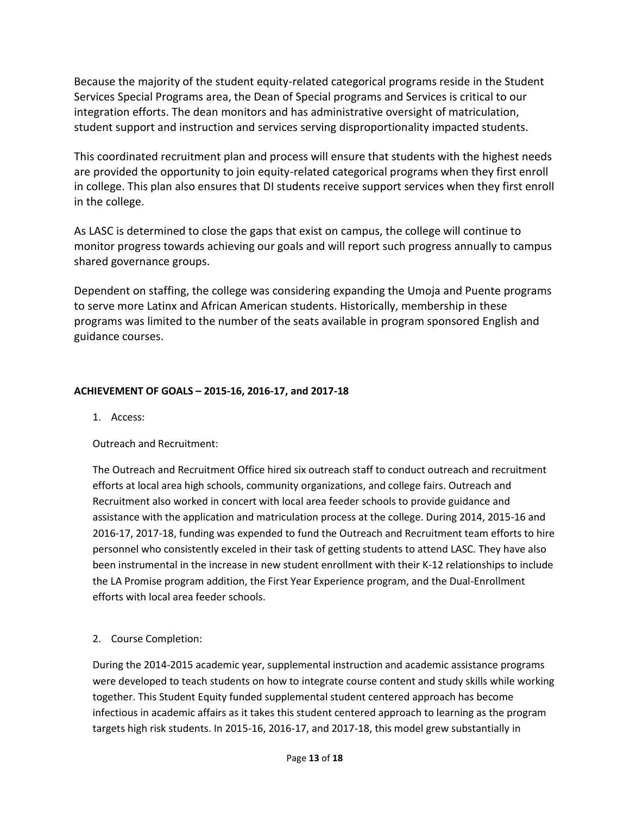Because the majority of the student equity-related categorical programs reside in the Student Services Special Programs area, the Dean of Special programs and Services is critical to our integration efforts. The dean monitors and has administrative oversight of matriculation, student support and instruction and services serving disproportionality impacted students.

This coordinated recruitment plan and process will ensure that students with the highest needs are provided the opportunity to join equity-related categorical programs when they first enroll in college. This plan also ensures that DI students receive support services when they first enroll in the college.

As LASC is determined to close the gaps that exist on campus, the college will continue to monitor progress towards achieving our goals and will report such progress annually to campus shared governance groups.

Dependent on staffing, the college was considering expanding the Umoja and Puente programs to serve more Latinx and African American students. Historically, membership in these programs was limited to the number of the seats available in program sponsored English and guidance courses.

## **ACHIEVEMENT OF GOALS – 2015-16, 2016-17, and 2017-18**

1. Access:

#### Outreach and Recruitment:

The Outreach and Recruitment Office hired six outreach staff to conduct outreach and recruitment efforts at local area high schools, community organizations, and college fairs. Outreach and Recruitment also worked in concert with local area feeder schools to provide guidance and assistance with the application and matriculation process at the college. During 2014, 2015-16 and 2016-17, 2017-18, funding was expended to fund the Outreach and Recruitment team efforts to hire personnel who consistently exceled in their task of getting students to attend LASC. They have also been instrumental in the increase in new student enrollment with their K-12 relationships to include the LA Promise program addition, the First Year Experience program, and the Dual-Enrollment efforts with local area feeder schools.

2. Course Completion:

During the 2014-2015 academic year, supplemental instruction and academic assistance programs were developed to teach students on how to integrate course content and study skills while working together. This Student Equity funded supplemental student centered approach has become infectious in academic affairs as it takes this student centered approach to learning as the program targets high risk students. In 2015-16, 2016-17, and 2017-18, this model grew substantially in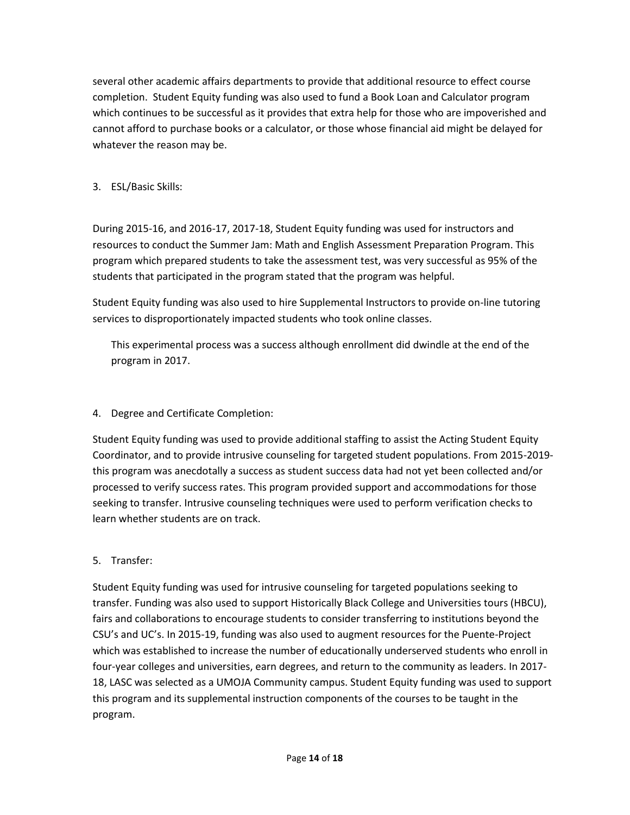several other academic affairs departments to provide that additional resource to effect course completion. Student Equity funding was also used to fund a Book Loan and Calculator program which continues to be successful as it provides that extra help for those who are impoverished and cannot afford to purchase books or a calculator, or those whose financial aid might be delayed for whatever the reason may be.

# 3. ESL/Basic Skills:

During 2015-16, and 2016-17, 2017-18, Student Equity funding was used for instructors and resources to conduct the Summer Jam: Math and English Assessment Preparation Program. This program which prepared students to take the assessment test, was very successful as 95% of the students that participated in the program stated that the program was helpful.

Student Equity funding was also used to hire Supplemental Instructors to provide on-line tutoring services to disproportionately impacted students who took online classes.

This experimental process was a success although enrollment did dwindle at the end of the program in 2017.

# 4. Degree and Certificate Completion:

Student Equity funding was used to provide additional staffing to assist the Acting Student Equity Coordinator, and to provide intrusive counseling for targeted student populations. From 2015-2019 this program was anecdotally a success as student success data had not yet been collected and/or processed to verify success rates. This program provided support and accommodations for those seeking to transfer. Intrusive counseling techniques were used to perform verification checks to learn whether students are on track.

# 5. Transfer:

Student Equity funding was used for intrusive counseling for targeted populations seeking to transfer. Funding was also used to support Historically Black College and Universities tours (HBCU), fairs and collaborations to encourage students to consider transferring to institutions beyond the CSU's and UC's. In 2015-19, funding was also used to augment resources for the Puente-Project which was established to increase the number of educationally underserved students who enroll in four-year colleges and universities, earn degrees, and return to the community as leaders. In 2017- 18, LASC was selected as a UMOJA Community campus. Student Equity funding was used to support this program and its supplemental instruction components of the courses to be taught in the program.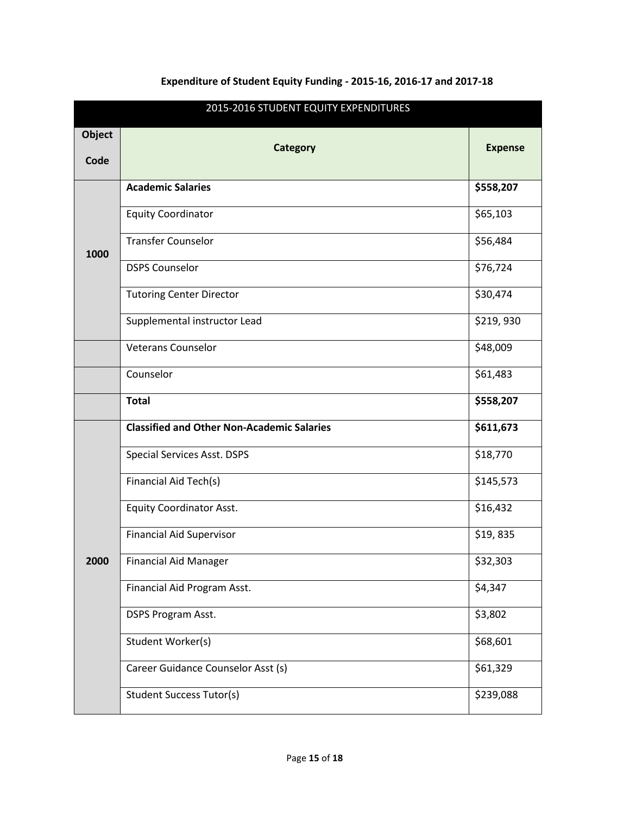|                       | 2015-2016 STUDENT EQUITY EXPENDITURES             |                |  |  |  |  |
|-----------------------|---------------------------------------------------|----------------|--|--|--|--|
| <b>Object</b><br>Code | <b>Category</b>                                   | <b>Expense</b> |  |  |  |  |
|                       | <b>Academic Salaries</b>                          | \$558,207      |  |  |  |  |
| 1000                  | <b>Equity Coordinator</b>                         | \$65,103       |  |  |  |  |
|                       | <b>Transfer Counselor</b>                         | \$56,484       |  |  |  |  |
|                       | <b>DSPS Counselor</b>                             | \$76,724       |  |  |  |  |
|                       | <b>Tutoring Center Director</b>                   | \$30,474       |  |  |  |  |
|                       | Supplemental instructor Lead                      | \$219,930      |  |  |  |  |
|                       | <b>Veterans Counselor</b>                         | \$48,009       |  |  |  |  |
|                       | Counselor                                         | \$61,483       |  |  |  |  |
|                       | <b>Total</b>                                      | \$558,207      |  |  |  |  |
|                       | <b>Classified and Other Non-Academic Salaries</b> | \$611,673      |  |  |  |  |
|                       | <b>Special Services Asst. DSPS</b>                | \$18,770       |  |  |  |  |
|                       | Financial Aid Tech(s)                             | \$145,573      |  |  |  |  |
|                       | <b>Equity Coordinator Asst.</b>                   | \$16,432       |  |  |  |  |
|                       | <b>Financial Aid Supervisor</b>                   | \$19,835       |  |  |  |  |
| <b>2000</b>           | <b>Financial Aid Manager</b>                      | \$32,303       |  |  |  |  |
|                       | Financial Aid Program Asst.                       | \$4,347        |  |  |  |  |
|                       | DSPS Program Asst.                                | \$3,802        |  |  |  |  |
|                       | Student Worker(s)                                 | \$68,601       |  |  |  |  |
|                       | Career Guidance Counselor Asst (s)                | \$61,329       |  |  |  |  |
|                       | <b>Student Success Tutor(s)</b>                   | \$239,088      |  |  |  |  |

# **Expenditure of Student Equity Funding - 2015-16, 2016-17 and 2017-18**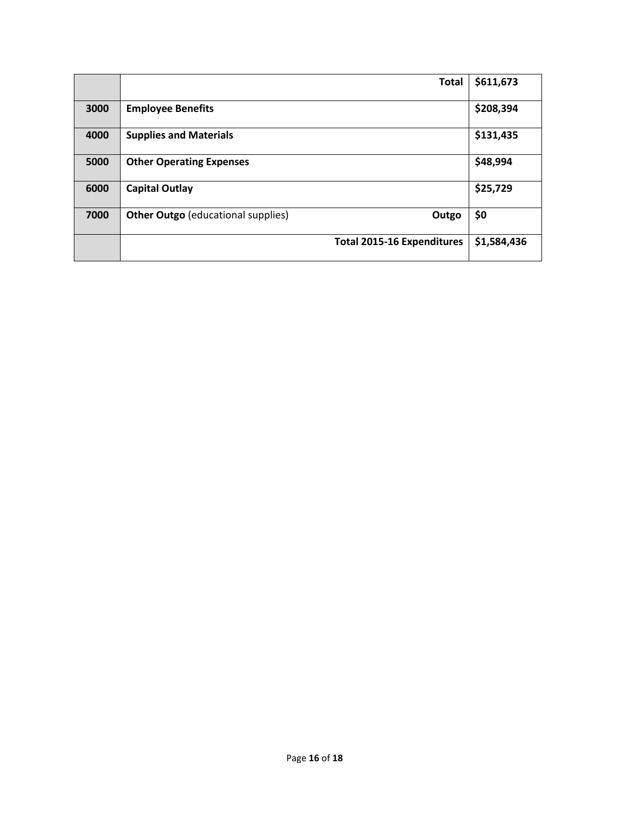|      | <b>Total</b>                                       | \$611,673   |
|------|----------------------------------------------------|-------------|
| 3000 | <b>Employee Benefits</b>                           | \$208,394   |
| 4000 | <b>Supplies and Materials</b>                      | \$131,435   |
| 5000 | <b>Other Operating Expenses</b>                    | \$48,994    |
| 6000 | <b>Capital Outlay</b>                              | \$25,729    |
| 7000 | <b>Other Outgo</b> (educational supplies)<br>Outgo | \$0         |
|      | <b>Total 2015-16 Expenditures</b>                  | \$1,584,436 |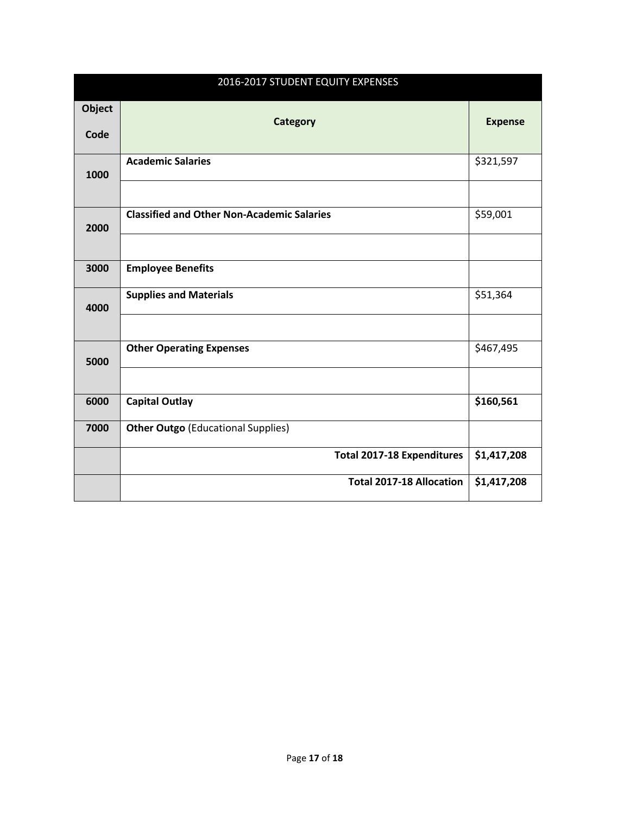|                | 2016-2017 STUDENT EQUITY EXPENSES                 |                |
|----------------|---------------------------------------------------|----------------|
| Object<br>Code | <b>Category</b>                                   | <b>Expense</b> |
| 1000           | <b>Academic Salaries</b>                          | \$321,597      |
| 2000           | <b>Classified and Other Non-Academic Salaries</b> | \$59,001       |
| 3000           | <b>Employee Benefits</b>                          |                |
| 4000           | <b>Supplies and Materials</b>                     | \$51,364       |
| 5000           | <b>Other Operating Expenses</b>                   | \$467,495      |
| 6000           | <b>Capital Outlay</b>                             | \$160,561      |
| 7000           | <b>Other Outgo (Educational Supplies)</b>         |                |
|                | <b>Total 2017-18 Expenditures</b>                 | \$1,417,208    |
|                | <b>Total 2017-18 Allocation</b>                   | \$1,417,208    |